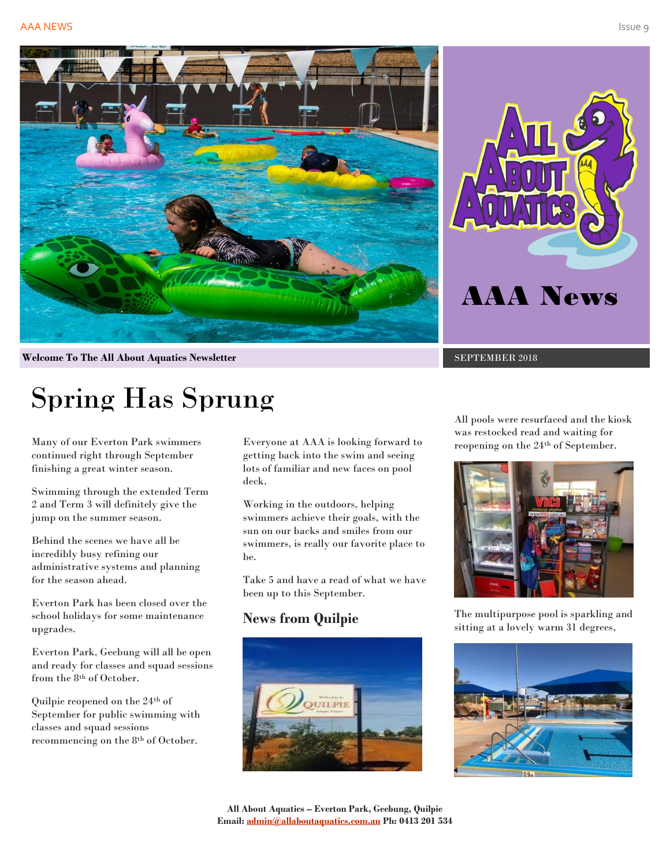



**Welcome To The All About Aquatics Newsletter** SEPTEMBER 2018

# Spring Has Sprung

Many of our Everton Park swimmers continued right through September finishing a great winter season.

Swimming through the extended Term 2 and Term 3 will definitely give the jump on the summer season.

Behind the scenes we have all be incredibly busy refining our administrative systems and planning for the season ahead.

Everton Park has been closed over the school holidays for some maintenance upgrades.

Everton Park, Geebung will all be open and ready for classes and squad sessions from the 8th of October.

Quilpie reopened on the 24th of September for public swimming with classes and squad sessions recommencing on the 8th of October.

Everyone at AAA is looking forward to getting back into the swim and seeing lots of familiar and new faces on pool deck.

Working in the outdoors, helping swimmers achieve their goals, with the sun on our backs and smiles from our swimmers, is really our favorite place to be.

Take 5 and have a read of what we have been up to this September.

# **News from Quilpie**



All pools were resurfaced and the kiosk was restocked read and waiting for reopening on the 24<sup>th</sup> of September.



The multipurpose pool is sparkling and sitting at a lovely warm 31 degrees,

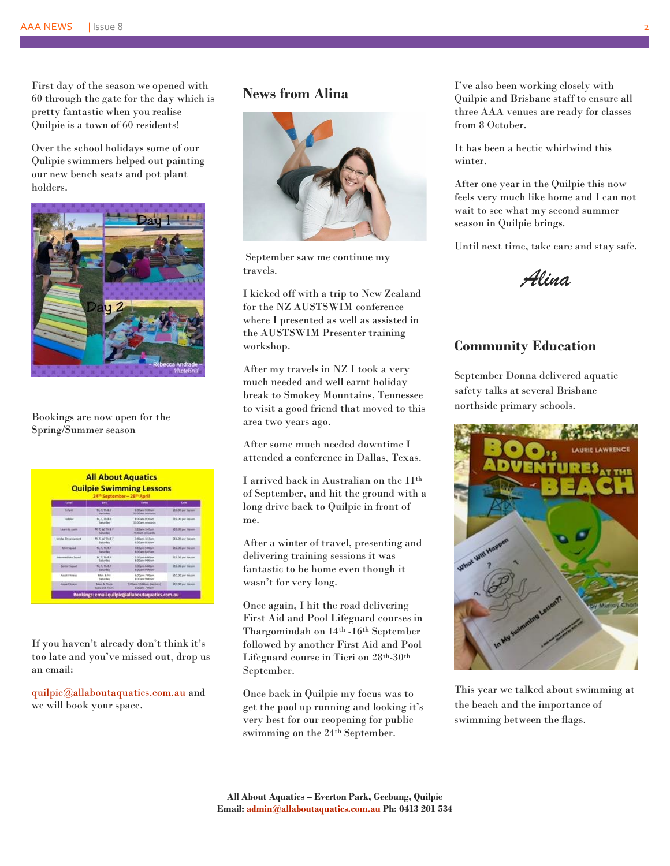#### AAA NEWS | Issue 8 2

First day of the season we opened with 60 through the gate for the day which is pretty fantastic when you realise Quilpie is a town of 60 residents!

Over the school holidays some of our Qulipie swimmers helped out painting our new bench seats and pot plant holders.



Bookings are now open for the Spring/Summer season

#### **All About Aquatics Quilpie Swimming Lessons**

| <b>Lateral</b>         | <b>Bay</b>                                       | Toront                                               | <b>Card</b>         |
|------------------------|--------------------------------------------------|------------------------------------------------------|---------------------|
| <b>Infant</b>          | <b>METHER</b><br>Suttunting                      | <b>RODAN RODAY</b><br><b>Middlem Jenusachi</b>       | \$16.00 per terrors |
| Techillar              | M.T.Th & F<br><b>Saturdad</b>                    | & OG anti-TC 3G arts<br>3300am integrity             | \$16.00 per lassen  |
| Lawrence and Colorador | <b>M.T.W.TILET</b><br><b>Saturday</b>            | 3:15am-5:45pm<br><b>R.Marn proceds</b>               | \$24.00 per lasses  |
| Struke Development     | M. C.W. Th & F<br><b>Turkankee</b>               | 3 Mars 4:15am<br>9.00am-9.10am                       | \$16.00 per leason  |
| <b>Mix Saled</b>       | M. L. Th & 4<br><b>Saturday</b>                  | <b>R. Elizio</b> 5.00um<br><b>Billiam &amp; Alam</b> | \$12.00 per herom   |
| International Second   | M. L. Th & F<br>Turkinslau                       | S.ODavis & DOwn<br><b>Billiam Gillam</b>             | \$12.00 per leaser  |
| Sentor Squad           | <b>METRES</b><br>Saturday                        | <b>Eddyne &amp; Ollane</b><br><b>Billiam Gillam</b>  | SEZ OD and heatom   |
| Adult Filmens          | Man & Fel.<br><b>Turkan Kass</b>                 | & ODam 7:00pm<br>Britishers (FO) sets                | \$30.00 per lesson  |
| <b>Aqua Fibrant</b>    | <b>Man &amp; Thurs</b><br><b>Tiers and Thurs</b> | feritians 10/20am Liamiersh<br>Ii Olani-7:00am       | \$10.00 per lassom  |

If you haven't already don't think it's too late and you've missed out, drop us an email:

[quilpie@allaboutaquatics.com.au](mailto:quilpie@allaboutaquatics.com.au) and we will book your space.

## **News from Alina**



September saw me continue my travels.

I kicked off with a trip to New Zealand for the NZ AUSTSWIM conference where I presented as well as assisted in the AUSTSWIM Presenter training workshop.

After my travels in NZ I took a very much needed and well earnt holiday break to Smokey Mountains, Tennessee to visit a good friend that moved to this area two years ago.

After some much needed downtime I attended a conference in Dallas, Texas.

I arrived back in Australian on the 11th of September, and hit the ground with a long drive back to Quilpie in front of me.

After a winter of travel, presenting and delivering training sessions it was fantastic to be home even though it wasn't for very long.

Once again, I hit the road delivering First Aid and Pool Lifeguard courses in Thargomindah on 14th -16th September followed by another First Aid and Pool Lifeguard course in Tieri on 28th-30th September.

Once back in Quilpie my focus was to get the pool up running and looking it's very best for our reopening for public swimming on the 24th September.

I've also been working closely with Quilpie and Brisbane staff to ensure all three AAA venues are ready for classes from 8 October.

It has been a hectic whirlwind this winter.

After one year in the Quilpie this now feels very much like home and I can not wait to see what my second summer season in Quilpie brings.

Until next time, take care and stay safe.

*Alina*

### **Community Education**

September Donna delivered aquatic safety talks at several Brisbane northside primary schools.



This year we talked about swimming at the beach and the importance of swimming between the flags.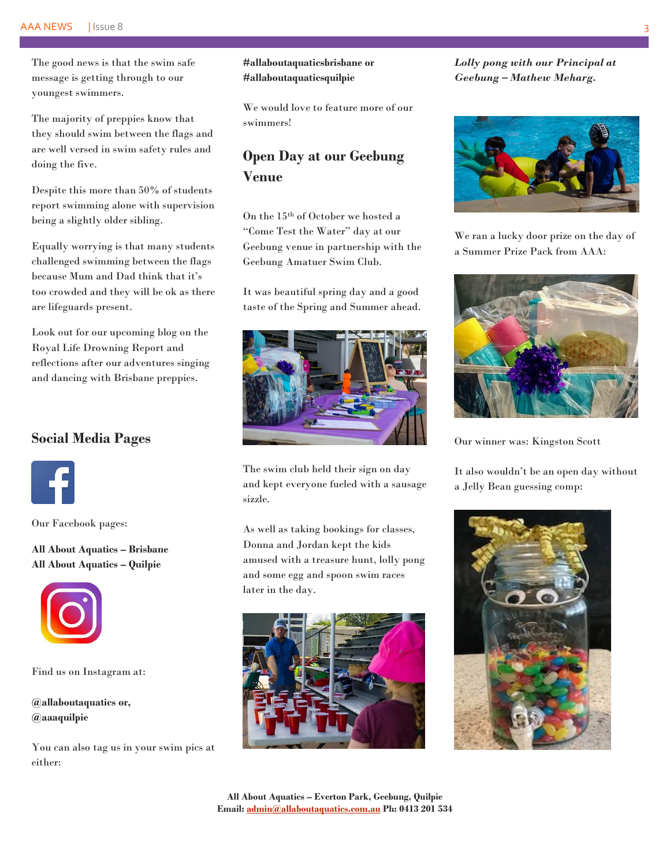#### AAA NEWS | Issue 8 3

The good news is that the swim safe message is getting through to our youngest swimmers.

The majority of preppies know that they should swim between the flags and are well versed in swim safety rules and doing the five.

Despite this more than 50% of students report swimming alone with supervision being a slightly older sibling.

Equally worrying is that many students challenged swimming between the flags because Mum and Dad think that it's too crowded and they will be ok as there are lifeguards present.

Look out for our upcoming blog on the Royal Life Drowning Report and reflections after our adventures singing and dancing with Brisbane preppies.

## **Social Media Pages**



Our Facebook pages:

**All About Aquatics – Brisbane All About Aquatics – Quilpie**



Find us on Instagram at:

**@allaboutaquatics or, @aaaquilpie**

You can also tag us in your swim pics at either:

#### **#allaboutaquaticsbrisbane or #allaboutaquaticsquilpie**

We would love to feature more of our swimmers!

# **Open Day at our Geebung Venue**

On the 15th of October we hosted a "Come Test the Water" day at our Geebung venue in partnership with the Geebung Amatuer Swim Club.

It was beautiful spring day and a good taste of the Spring and Summer ahead.



The swim club held their sign on day and kept everyone fueled with a sausage sizzle.

As well as taking bookings for classes, Donna and Jordan kept the kids amused with a treasure hunt, lolly pong and some egg and spoon swim races later in the day.



*Lolly pong with our Principal at Geebung – Mathew Meharg.*



We ran a lucky door prize on the day of a Summer Prize Pack from AAA:



Our winner was: Kingston Scott

It also wouldn't be an open day without a Jelly Bean guessing comp: